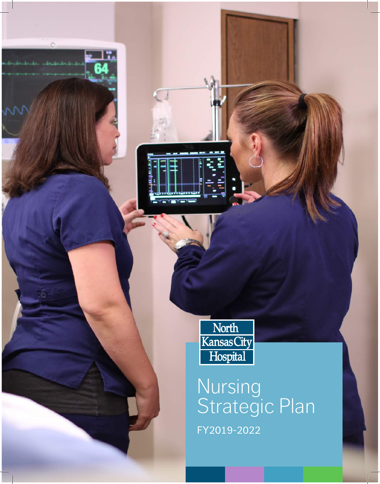

W

North<br>Kansas City<br>Hospital

#### **Nursing** Strategic Plan FY2019-2022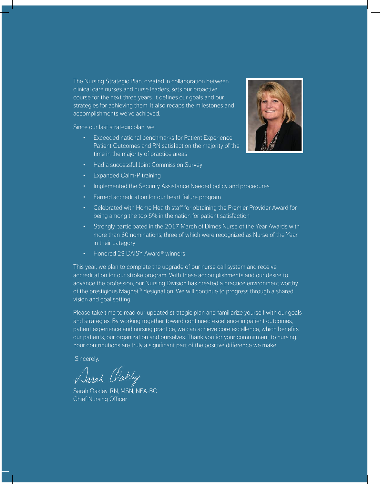The Nursing Strategic Plan, created in collaboration between clinical care nurses and nurse leaders, sets our proactive course for the next three years. It defines our goals and our strategies for achieving them. It also recaps the milestones and accomplishments we've achieved.

Since our last strategic plan, we:

- Exceeded national benchmarks for Patient Experience, Patient Outcomes and RN satisfaction the majority of the time in the majority of practice areas
- Had a successful Joint Commission Survey
- Expanded Calm-P training
- Implemented the Security Assistance Needed policy and procedures
- Earned accreditation for our heart failure program
- Celebrated with Home Health staff for obtaining the Premier Provider Award for being among the top 5% in the nation for patient satisfaction
- Strongly participated in the 2017 March of Dimes Nurse of the Year Awards with more than 60 nominations, three of which were recognized as Nurse of the Year in their category
- Honored 29 DAISY Award® winners

This year, we plan to complete the upgrade of our nurse call system and receive accreditation for our stroke program. With these accomplishments and our desire to advance the profession, our Nursing Division has created a practice environment worthy of the prestigious Magnet® designation. We will continue to progress through a shared vision and goal setting.

Please take time to read our updated strategic plan and familiarize yourself with our goals and strategies. By working together toward continued excellence in patient outcomes, patient experience and nursing practice, we can achieve core excellence, which benefits our patients, our organization and ourselves. Thank you for your commitment to nursing. Your contributions are truly a significant part of the positive difference we make.

Sincerely,

Darah Oakley

Sarah Oakley, RN, MSN, NEA-BC Chief Nursing Officer

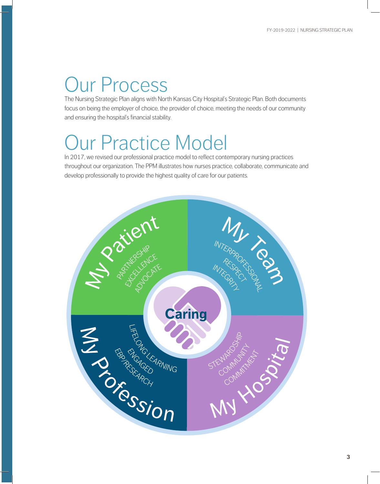# Our Process

The Nursing Strategic Plan aligns with North Kansas City Hospital's Strategic Plan. Both documents focus on being the employer of choice, the provider of choice, meeting the needs of our community and ensuring the hospital's financial stability.

### Our Practice Model

In 2017, we revised our professional practice model to reflect contemporary nursing practices throughout our organization. The PPM illustrates how nurses practice, collaborate, communicate and develop professionally to provide the highest quality of care for our patients.

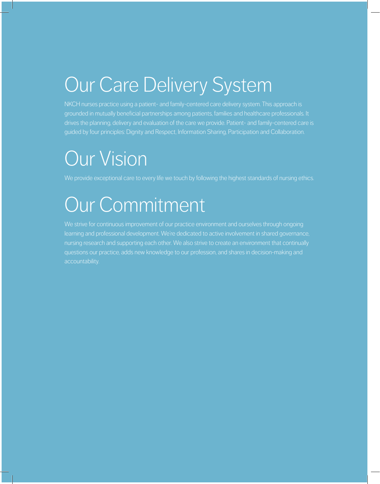## Our Care Delivery System

NKCH nurses practice using a patient- and family-centered care delivery system. This approach is grounded in mutually beneficial partnerships among patients, families and healthcare professionals. It drives the planning, delivery and evaluation of the care we provide. Patient- and family-centered care is guided by four principles: Dignity and Respect, Information Sharing, Participation and Collaboration.

## Our Vision

We provide exceptional care to every life we touch by following the highest standards of nursing ethics.

# Our Commitment

We strive for continuous improvement of our practice environment and ourselves through ongoing learning and professional development. We're dedicated to active involvement in shared governance, nursing research and supporting each other. We also strive to create an environment that continually questions our practice, adds new knowledge to our profession, and shares in decision-making and accountability.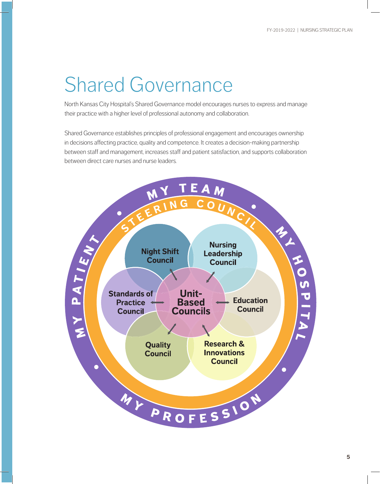## Shared Governance

North Kansas City Hospital's Shared Governance model encourages nurses to express and manage their practice with a higher level of professional autonomy and collaboration.

Shared Governance establishes principles of professional engagement and encourages ownership in decisions affecting practice, quality and competence. It creates a decision-making partnership between staff and management, increases staff and patient satisfaction, and supports collaboration between direct care nurses and nurse leaders.

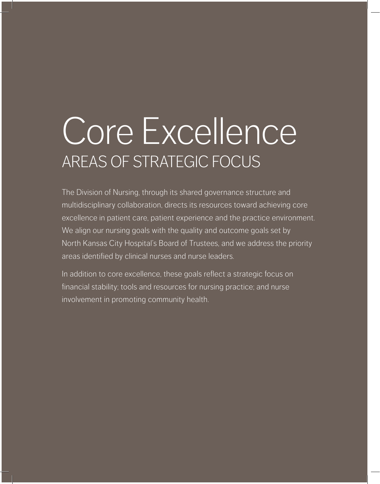# Core Excellence AREAS OF STRATEGIC FOCUS

The Division of Nursing, through its shared governance structure and multidisciplinary collaboration, directs its resources toward achieving core excellence in patient care, patient experience and the practice environment. We align our nursing goals with the quality and outcome goals set by North Kansas City Hospital's Board of Trustees, and we address the priority areas identified by clinical nurses and nurse leaders.

In addition to core excellence, these goals reflect a strategic focus on financial stability; tools and resources for nursing practice; and nurse involvement in promoting community health.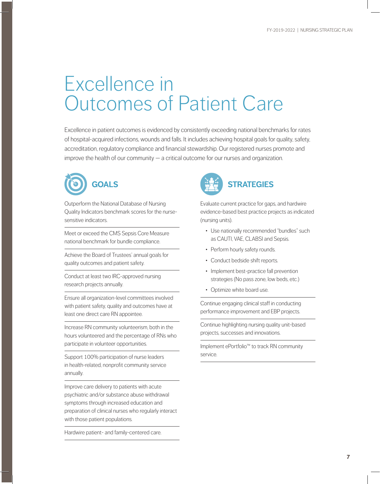#### Excellence in Outcomes of Patient Care

Excellence in patient outcomes is evidenced by consistently exceeding national benchmarks for rates of hospital-acquired infections, wounds and falls. It includes achieving hospital goals for quality, safety, accreditation, regulatory compliance and financial stewardship. Our registered nurses promote and improve the health of our community — a critical outcome for our nurses and organization.



Outperform the National Database of Nursing Quality Indicators benchmark scores for the nursesensitive indicators.

Meet or exceed the CMS Sepsis Core Measure national benchmark for bundle compliance.

Achieve the Board of Trustees' annual goals for quality outcomes and patient safety.

Conduct at least two IRC-approved nursing research projects annually.

Ensure all organization-level committees involved with patient safety, quality and outcomes have at least one direct care RN appointee.

Increase RN community volunteerism, both in the hours volunteered and the percentage of RNs who participate in volunteer opportunities.

Support 100% participation of nurse leaders in health-related, nonprofit community service annually.

Improve care delivery to patients with acute psychiatric and/or substance abuse withdrawal symptoms through increased education and preparation of clinical nurses who regularly interact with those patient populations.

Hardwire patient- and family-centered care.



Evaluate current practice for gaps, and hardwire evidence-based best practice projects as indicated (nursing units).

- Use nationally recommended "bundles" such as CAUTI, VAE, CLABSI and Sepsis.
- Perform hourly safety rounds.
- Conduct bedside shift reports.
- Implement best-practice fall prevention strategies (No pass zone, low beds, etc.)
- Optimize white board use.

Continue engaging clinical staff in conducting performance improvement and EBP projects.

Continue highlighting nursing quality unit-based projects, successes and innovations.

Implement ePortfolio™ to track RN community service.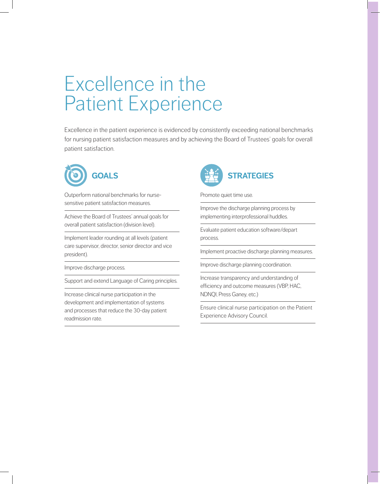#### Excellence in the Patient Experience

Excellence in the patient experience is evidenced by consistently exceeding national benchmarks for nursing patient satisfaction measures and by achieving the Board of Trustees' goals for overall patient satisfaction.



Outperform national benchmarks for nursesensitive patient satisfaction measures.

Achieve the Board of Trustees' annual goals for overall patient satisfaction (division level).

Implement leader rounding at all levels (patient care supervisor, director, senior director and vice president).

Improve discharge process.

Support and extend Language of Caring principles.

Increase clinical nurse participation in the development and implementation of systems and processes that reduce the 30-day patient readmission rate.



Promote quiet time use.

Improve the discharge planning process by implementing interprofessional huddles.

Evaluate patient education software/depart process.

Implement proactive discharge planning measures.

Improve discharge planning coordination.

Increase transparency and understanding of efficiency and outcome measures (VBP, HAC, NDNQI, Press Ganey, etc.)

Ensure clinical nurse participation on the Patient Experience Advisory Council.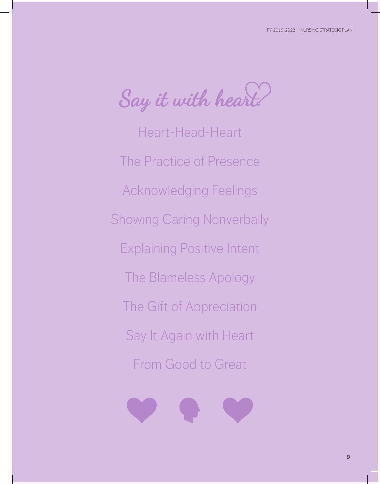Say it with heart!

Heart-Head-Heart The Practice of Presence Acknowledging Feelings Showing Caring Nonverbally Explaining Positive Intent The Blameless Apology The Gift of Appreciation Say It Again with Heart From Good to Great

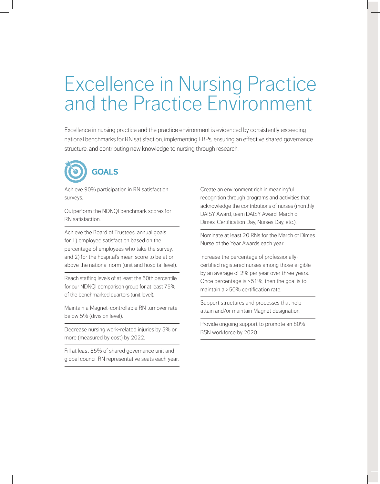#### Excellence in Nursing Practice and the Practice Environment

Excellence in nursing practice and the practice environment is evidenced by consistently exceeding national benchmarks for RN satisfaction, implementing EBPs, ensuring an effective shared governance structure, and contributing new knowledge to nursing through research.



Achieve 90% participation in RN satisfaction surveys.

Outperform the NDNQI benchmark scores for RN satisfaction.

Achieve the Board of Trustees' annual goals for 1) employee satisfaction based on the percentage of employees who take the survey, and 2) for the hospital's mean score to be at or above the national norm (unit and hospital level).

Reach staffing levels of at least the 50th percentile for our NDNQI comparison group for at least 75% of the benchmarked quarters (unit level).

Maintain a Magnet-controllable RN turnover rate below 5% (division level).

Decrease nursing work-related injuries by 5% or more (measured by cost) by 2022.

Fill at least 85% of shared governance unit and global council RN representative seats each year. Create an environment rich in meaningful recognition through programs and activities that acknowledge the contributions of nurses (monthly DAISY Award, team DAISY Award, March of Dimes, Certification Day, Nurses Day, etc.).

Nominate at least 20 RNs for the March of Dimes Nurse of the Year Awards each year.

Increase the percentage of professionallycertified registered nurses among those eligible by an average of 2% per year over three years. Once percentage is >51%, then the goal is to maintain a >50% certification rate.

Support structures and processes that help attain and/or maintain Magnet designation.

Provide ongoing support to promote an 80% BSN workforce by 2020.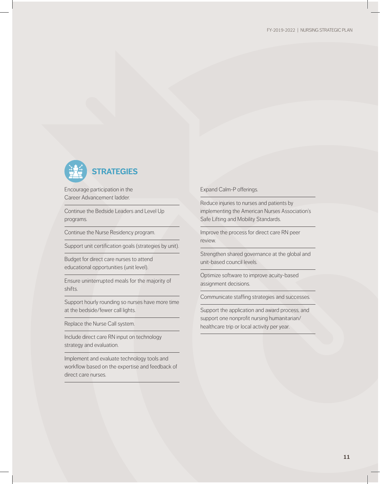

Encourage participation in the Career Advancement ladder.

Continue the Bedside Leaders and Level Up programs.

Continue the Nurse Residency program.

Support unit certification goals (strategies by unit).

Budget for direct care nurses to attend educational opportunities (unit level).

Ensure uninterrupted meals for the majority of shifts.

Support hourly rounding so nurses have more time at the bedside/fewer call lights.

Replace the Nurse Call system.

Include direct care RN input on technology strategy and evaluation.

Implement and evaluate technology tools and workflow based on the expertise and feedback of direct care nurses.

Expand Calm-P offerings.

Reduce injuries to nurses and patients by implementing the American Nurses Association's Safe Lifting and Mobility Standards.

Improve the process for direct care RN peer review.

Strengthen shared governance at the global and unit-based council levels.

Optimize software to improve acuity-based assignment decisions.

Communicate staffing strategies and successes.

Support the application and award process, and support one nonprofit nursing humanitarian/ healthcare trip or local activity per year.